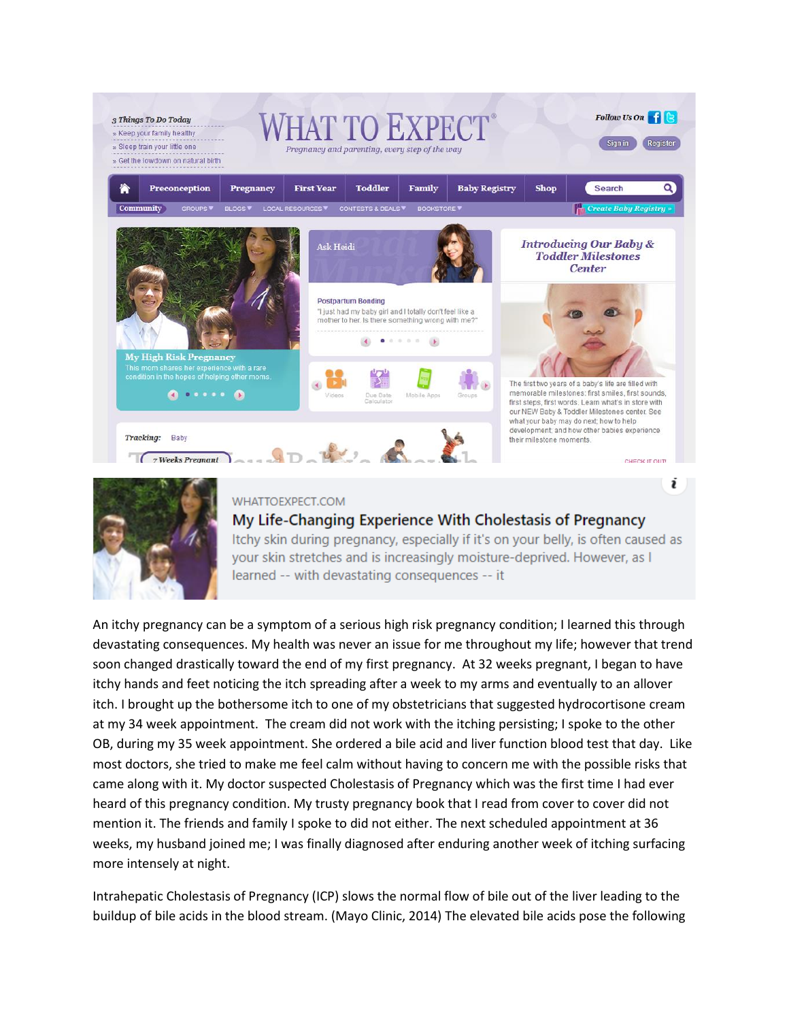



## WHATTOFXPECT.COM

## My Life-Changing Experience With Cholestasis of Pregnancy

Itchy skin during pregnancy, especially if it's on your belly, is often caused as your skin stretches and is increasingly moisture-deprived. However, as I learned -- with devastating consequences -- it

An itchy pregnancy can be a symptom of a serious high risk pregnancy condition; I learned this through devastating consequences. My health was never an issue for me throughout my life; however that trend soon changed drastically toward the end of my first pregnancy. At 32 weeks pregnant, I began to have itchy hands and feet noticing the itch spreading after a week to my arms and eventually to an allover itch. I brought up the bothersome itch to one of my obstetricians that suggested hydrocortisone cream at my 34 week appointment. The cream did not work with the itching persisting; I spoke to the other OB, during my 35 week appointment. She ordered a bile acid and liver function blood test that day. Like most doctors, she tried to make me feel calm without having to concern me with the possible risks that came along with it. My doctor suspected Cholestasis of Pregnancy which was the first time I had ever heard of this pregnancy condition. My trusty pregnancy book that I read from cover to cover did not mention it. The friends and family I spoke to did not either. The next scheduled appointment at 36 weeks, my husband joined me; I was finally diagnosed after enduring another week of itching surfacing more intensely at night.

Intrahepatic Cholestasis of Pregnancy (ICP) slows the normal flow of bile out of the liver leading to the buildup of bile acids in the blood stream. (Mayo Clinic, 2014) The elevated bile acids pose the following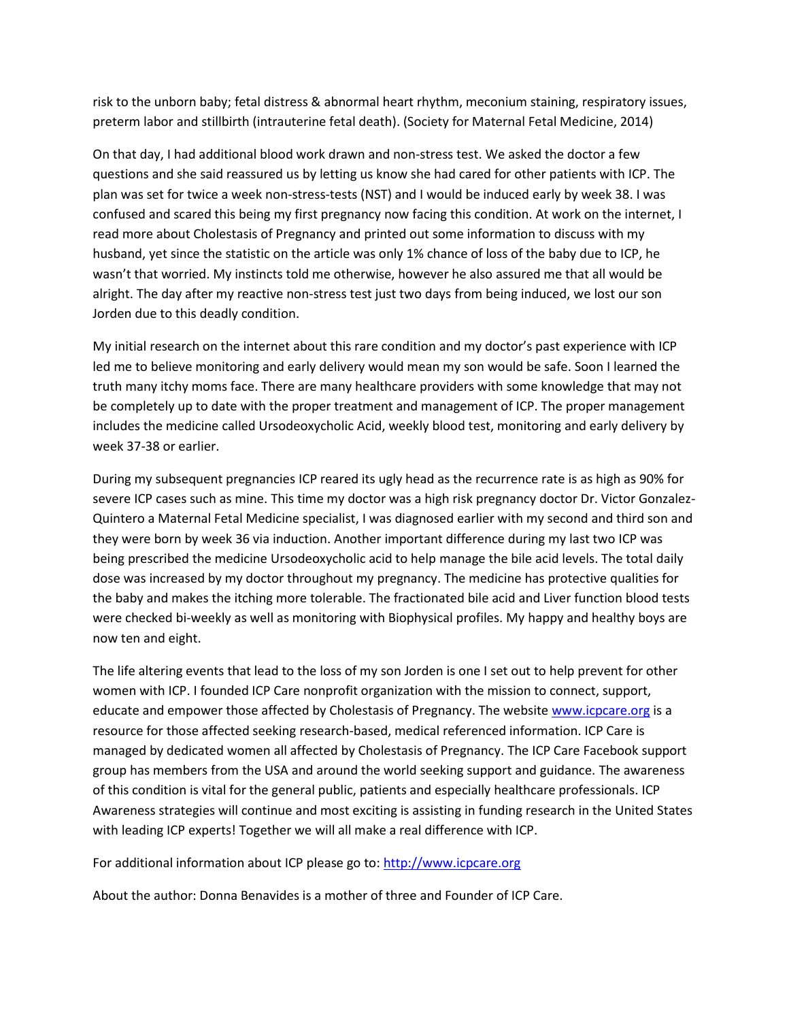risk to the unborn baby; fetal distress & abnormal heart rhythm, meconium staining, respiratory issues, preterm labor and stillbirth (intrauterine fetal death). (Society for Maternal Fetal Medicine, 2014)

On that day, I had additional blood work drawn and non-stress test. We asked the doctor a few questions and she said reassured us by letting us know she had cared for other patients with ICP. The plan was set for twice a week non-stress-tests (NST) and I would be induced early by week 38. I was confused and scared this being my first pregnancy now facing this condition. At work on the internet, I read more about Cholestasis of Pregnancy and printed out some information to discuss with my husband, yet since the statistic on the article was only 1% chance of loss of the baby due to ICP, he wasn't that worried. My instincts told me otherwise, however he also assured me that all would be alright. The day after my reactive non-stress test just two days from being induced, we lost our son Jorden due to this deadly condition.

My initial research on the internet about this rare condition and my doctor's past experience with ICP led me to believe monitoring and early delivery would mean my son would be safe. Soon I learned the truth many itchy moms face. There are many healthcare providers with some knowledge that may not be completely up to date with the proper treatment and management of ICP. The proper management includes the medicine called Ursodeoxycholic Acid, weekly blood test, monitoring and early delivery by week 37-38 or earlier.

During my subsequent pregnancies ICP reared its ugly head as the recurrence rate is as high as 90% for severe ICP cases such as mine. This time my doctor was a high risk pregnancy doctor Dr. Victor Gonzalez-Quintero a Maternal Fetal Medicine specialist, I was diagnosed earlier with my second and third son and they were born by week 36 via induction. Another important difference during my last two ICP was being prescribed the medicine Ursodeoxycholic acid to help manage the bile acid levels. The total daily dose was increased by my doctor throughout my pregnancy. The medicine has protective qualities for the baby and makes the itching more tolerable. The fractionated bile acid and Liver function blood tests were checked bi-weekly as well as monitoring with Biophysical profiles. My happy and healthy boys are now ten and eight.

The life altering events that lead to the loss of my son Jorden is one I set out to help prevent for other women with ICP. I founded ICP Care nonprofit organization with the mission to connect, support, educate and empower those affected by Cholestasis of Pregnancy. The website [www.icpcare.org](http://www.icpcare.org/) is a resource for those affected seeking research-based, medical referenced information. ICP Care is managed by dedicated women all affected by Cholestasis of Pregnancy. The ICP Care Facebook support group has members from the USA and around the world seeking support and guidance. The awareness of this condition is vital for the general public, patients and especially healthcare professionals. ICP Awareness strategies will continue and most exciting is assisting in funding research in the United States with leading ICP experts! Together we will all make a real difference with ICP.

For additional information about ICP please go to[: http://www.icpcare.org](http://www.icpcare.org/)

About the author: Donna Benavides is a mother of three and Founder of ICP Care.